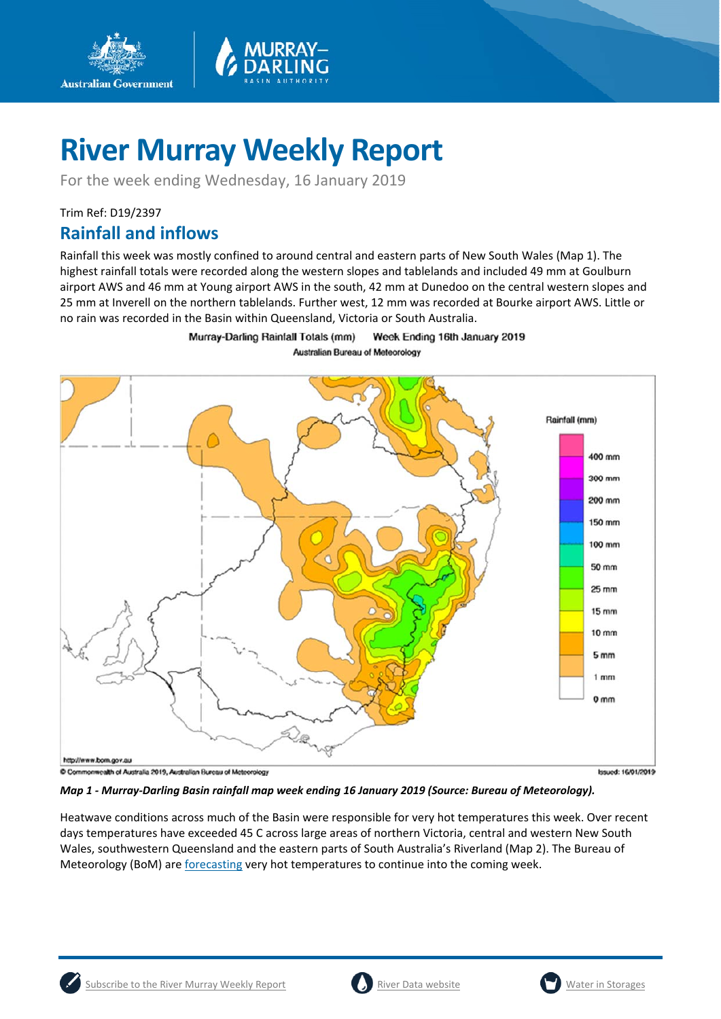

For the week ending Wednesday, 16 January 2019

## Trim Ref: D19/2397

**Australian Government** 

## **Rainfall and inflows**

Rainfall this week was mostly confined to around central and eastern parts of New South Wales (Map 1). The highest rainfall totals were recorded along the western slopes and tablelands and included 49 mm at Goulburn airport AWS and 46 mm at Young airport AWS in the south, 42 mm at Dunedoo on the central western slopes and 25 mm at Inverell on the northern tablelands. Further west, 12 mm was recorded at Bourke airport AWS. Little or no rain was recorded in the Basin within Queensland, Victoria or South Australia.

> Murray-Darling Rainfall Totals (mm) Week Ending 16th January 2019 **Australian Bureau of Meteorology**



*Map 1 ‐ Murray‐Darling Basin rainfall map week ending 16 January 2019 (Source: Bureau of Meteorology).* 

Heatwave conditions across much of the Basin were responsible for very hot temperatures this week. Over recent days temperatures have exceeded 45 C across large areas of northern Victoria, central and western New South Wales, southwestern Queensland and the eastern parts of South Australia's Riverland (Map 2). The Bureau of Meteorology (BoM) are *forecasting* very hot temperatures to continue into the coming week.



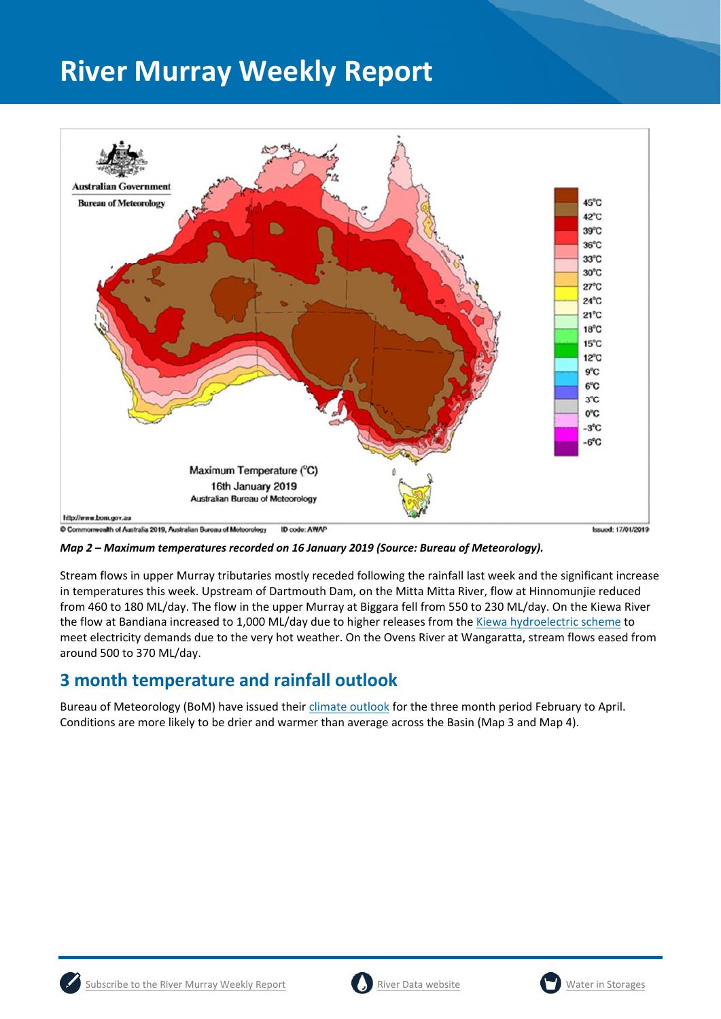

*Map 2 – Maximum temperatures recorded on 16 January 2019 (Source: Bureau of Meteorology).* 

Stream flows in upper Murray tributaries mostly receded following the rainfall last week and the significant increase in temperatures this week. Upstream of Dartmouth Dam, on the Mitta Mitta River, flow at Hinnomunjie reduced from 460 to 180 ML/day. The flow in the upper Murray at Biggara fell from 550 to 230 ML/day. On the Kiewa River the flow at Bandiana increased to 1,000 ML/day due to higher releases from the Kiewa hydroelectric scheme to meet electricity demands due to the very hot weather. On the Ovens River at Wangaratta, stream flows eased from around 500 to 370 ML/day.

## **3 month temperature and rainfall outlook**

Bureau of Meteorology (BoM) have issued their climate outlook for the three month period February to April. Conditions are more likely to be drier and warmer than average across the Basin (Map 3 and Map 4).





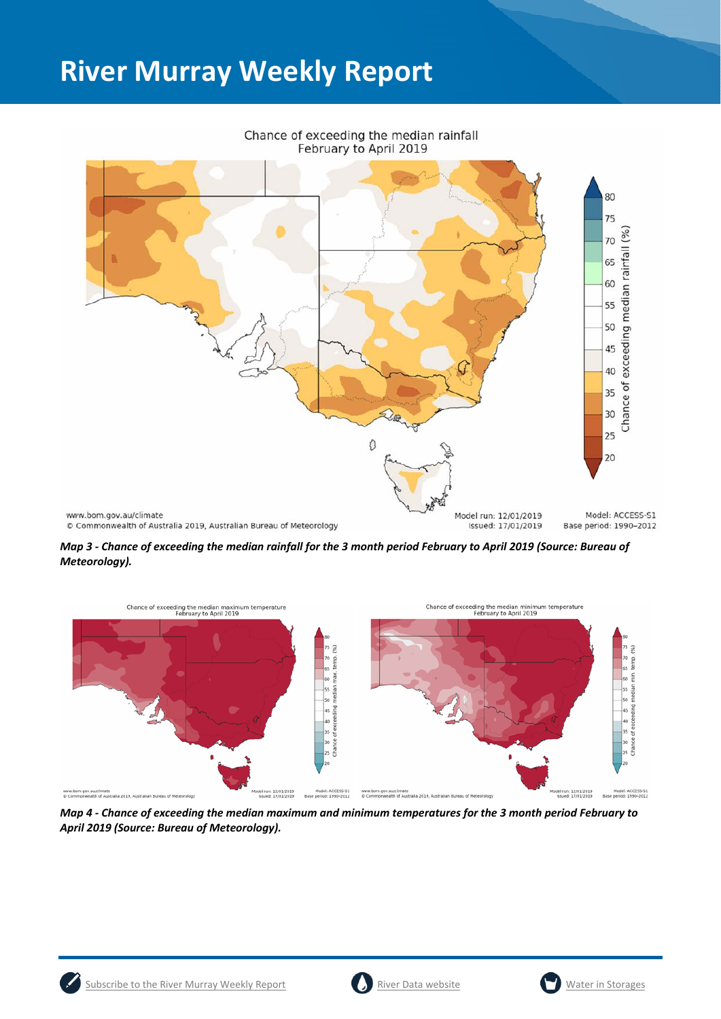

Chance of exceeding the median rainfall

*Map 3 ‐ Chance of exceeding the median rainfall for the 3 month period February to April 2019 (Source: Bureau of Meteorology).* 



*Map 4 ‐ Chance of exceeding the median maximum and minimum temperatures for the 3 month period February to April 2019 (Source: Bureau of Meteorology).* 



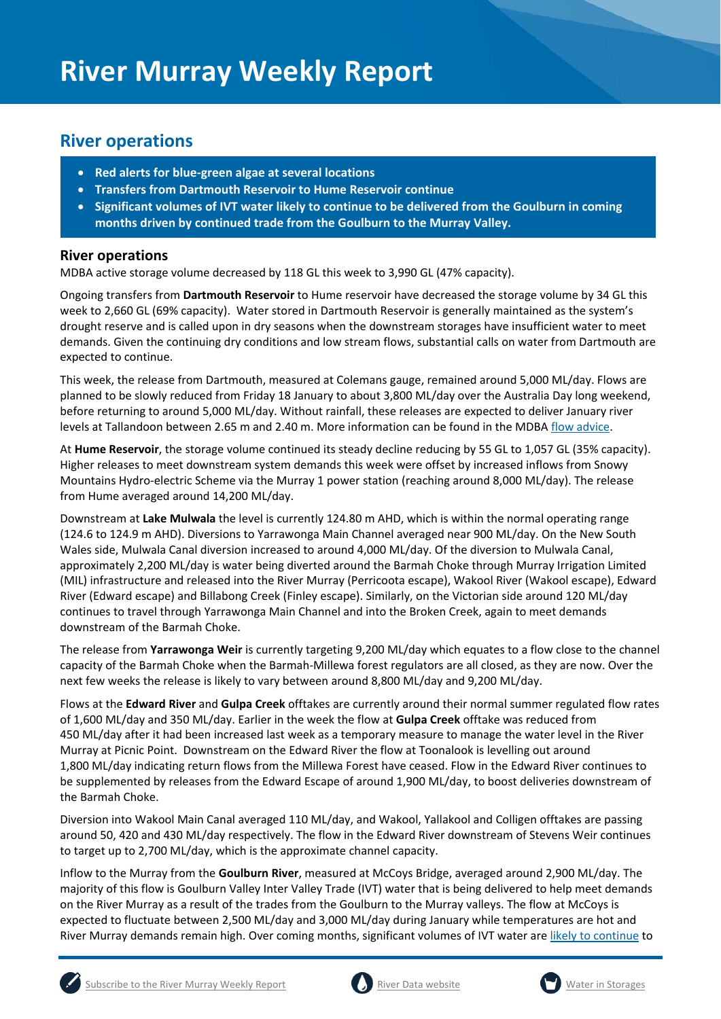## **River operations**

- **Red alerts for blue‐green algae at several locations**
- **Transfers from Dartmouth Reservoir to Hume Reservoir continue**
- **Significant volumes of IVT water likely to continue to be delivered from the Goulburn in coming months driven by continued trade from the Goulburn to the Murray Valley.**

## **River operations**

MDBA active storage volume decreased by 118 GL this week to 3,990 GL (47% capacity).

Ongoing transfers from **Dartmouth Reservoir** to Hume reservoir have decreased the storage volume by 34 GL this week to 2,660 GL (69% capacity). Water stored in Dartmouth Reservoir is generally maintained as the system's drought reserve and is called upon in dry seasons when the downstream storages have insufficient water to meet demands. Given the continuing dry conditions and low stream flows, substantial calls on water from Dartmouth are expected to continue.

This week, the release from Dartmouth, measured at Colemans gauge, remained around 5,000 ML/day. Flows are planned to be slowly reduced from Friday 18 January to about 3,800 ML/day over the Australia Day long weekend, before returning to around 5,000 ML/day. Without rainfall, these releases are expected to deliver January river levels at Tallandoon between 2.65 m and 2.40 m. More information can be found in the MDBA flow advice.

At **Hume Reservoir**, the storage volume continued its steady decline reducing by 55 GL to 1,057 GL (35% capacity). Higher releases to meet downstream system demands this week were offset by increased inflows from Snowy Mountains Hydro‐electric Scheme via the Murray 1 power station (reaching around 8,000 ML/day). The release from Hume averaged around 14,200 ML/day.

Downstream at **Lake Mulwala** the level is currently 124.80 m AHD, which is within the normal operating range (124.6 to 124.9 m AHD). Diversions to Yarrawonga Main Channel averaged near 900 ML/day. On the New South Wales side, Mulwala Canal diversion increased to around 4,000 ML/day. Of the diversion to Mulwala Canal, approximately 2,200 ML/day is water being diverted around the Barmah Choke through Murray Irrigation Limited (MIL) infrastructure and released into the River Murray (Perricoota escape), Wakool River (Wakool escape), Edward River (Edward escape) and Billabong Creek (Finley escape). Similarly, on the Victorian side around 120 ML/day continues to travel through Yarrawonga Main Channel and into the Broken Creek, again to meet demands downstream of the Barmah Choke.

The release from **Yarrawonga Weir** is currently targeting 9,200 ML/day which equates to a flow close to the channel capacity of the Barmah Choke when the Barmah‐Millewa forest regulators are all closed, as they are now. Over the next few weeks the release is likely to vary between around 8,800 ML/day and 9,200 ML/day.

Flows at the **Edward River** and **Gulpa Creek** offtakes are currently around their normal summer regulated flow rates of 1,600 ML/day and 350 ML/day. Earlier in the week the flow at **Gulpa Creek** offtake was reduced from 450 ML/day after it had been increased last week as a temporary measure to manage the water level in the River Murray at Picnic Point. Downstream on the Edward River the flow at Toonalook is levelling out around 1,800 ML/day indicating return flows from the Millewa Forest have ceased. Flow in the Edward River continues to be supplemented by releases from the Edward Escape of around 1,900 ML/day, to boost deliveries downstream of the Barmah Choke.

Diversion into Wakool Main Canal averaged 110 ML/day, and Wakool, Yallakool and Colligen offtakes are passing around 50, 420 and 430 ML/day respectively. The flow in the Edward River downstream of Stevens Weir continues to target up to 2,700 ML/day, which is the approximate channel capacity.

Inflow to the Murray from the **Goulburn River**, measured at McCoys Bridge, averaged around 2,900 ML/day. The majority of this flow is Goulburn Valley Inter Valley Trade (IVT) water that is being delivered to help meet demands on the River Murray as a result of the trades from the Goulburn to the Murray valleys. The flow at McCoys is expected to fluctuate between 2,500 ML/day and 3,000 ML/day during January while temperatures are hot and River Murray demands remain high. Over coming months, significant volumes of IVT water are likely to continue to





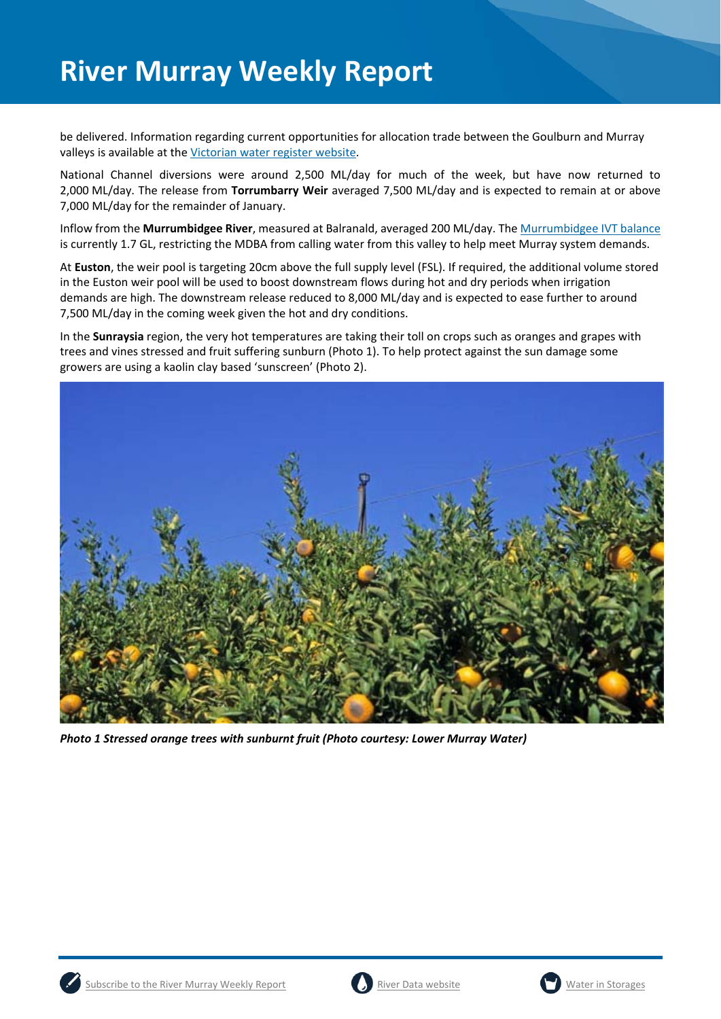be delivered. Information regarding current opportunities for allocation trade between the Goulburn and Murray valleys is available at the Victorian water register website.

National Channel diversions were around 2,500 ML/day for much of the week, but have now returned to 2,000 ML/day. The release from **Torrumbarry Weir** averaged 7,500 ML/day and is expected to remain at or above 7,000 ML/day for the remainder of January.

Inflow from the **Murrumbidgee River**, measured at Balranald, averaged 200 ML/day. The Murrumbidgee IVT balance is currently 1.7 GL, restricting the MDBA from calling water from this valley to help meet Murray system demands.

At **Euston**, the weir pool is targeting 20cm above the full supply level (FSL). If required, the additional volume stored in the Euston weir pool will be used to boost downstream flows during hot and dry periods when irrigation demands are high. The downstream release reduced to 8,000 ML/day and is expected to ease further to around 7,500 ML/day in the coming week given the hot and dry conditions.

In the **Sunraysia** region, the very hot temperatures are taking their toll on crops such as oranges and grapes with trees and vines stressed and fruit suffering sunburn (Photo 1). To help protect against the sun damage some growers are using a kaolin clay based 'sunscreen' (Photo 2).



*Photo 1 Stressed orange trees with sunburnt fruit (Photo courtesy: Lower Murray Water)* 





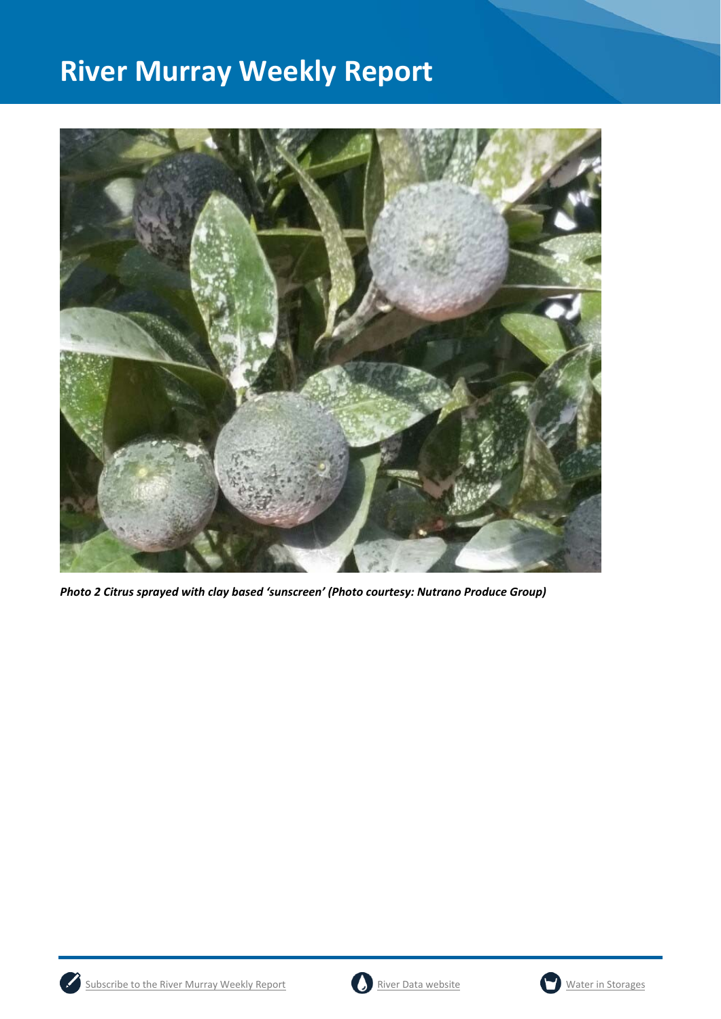

*Photo 2 Citrus sprayed with clay based 'sunscreen' (Photo courtesy: Nutrano Produce Group)* 





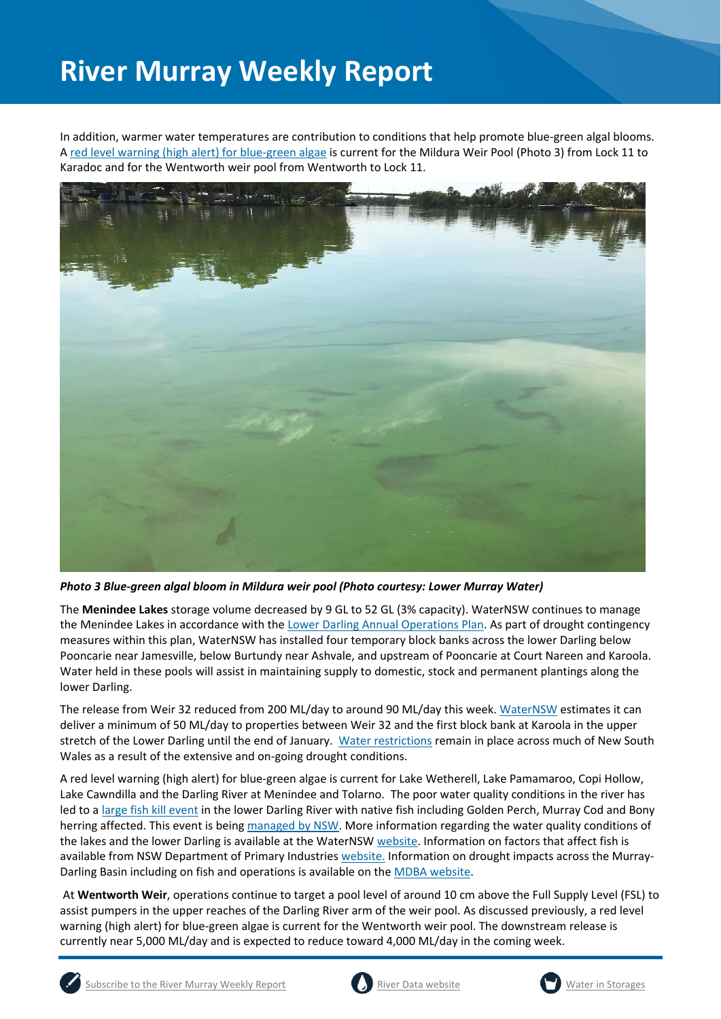In addition, warmer water temperatures are contribution to conditions that help promote blue‐green algal blooms. A red level warning (high alert) for blue‐green algae is current for the Mildura Weir Pool (Photo 3) from Lock 11 to Karadoc and for the Wentworth weir pool from Wentworth to Lock 11.



*Photo 3 Blue‐green algal bloom in Mildura weir pool (Photo courtesy: Lower Murray Water)*

The **Menindee Lakes** storage volume decreased by 9 GL to 52 GL (3% capacity). WaterNSW continues to manage the Menindee Lakes in accordance with the Lower Darling Annual Operations Plan. As part of drought contingency measures within this plan, WaterNSW has installed four temporary block banks across the lower Darling below Pooncarie near Jamesville, below Burtundy near Ashvale, and upstream of Pooncarie at Court Nareen and Karoola. Water held in these pools will assist in maintaining supply to domestic, stock and permanent plantings along the lower Darling.

The release from Weir 32 reduced from 200 ML/day to around 90 ML/day this week. WaterNSW estimates it can deliver a minimum of 50 ML/day to properties between Weir 32 and the first block bank at Karoola in the upper stretch of the Lower Darling until the end of January. Water restrictions remain in place across much of New South Wales as a result of the extensive and on‐going drought conditions.

A red level warning (high alert) for blue‐green algae is current for Lake Wetherell, Lake Pamamaroo, Copi Hollow, Lake Cawndilla and the Darling River at Menindee and Tolarno. The poor water quality conditions in the river has led to a large fish kill event in the lower Darling River with native fish including Golden Perch, Murray Cod and Bony herring affected. This event is being managed by NSW. More information regarding the water quality conditions of the lakes and the lower Darling is available at the WaterNSW website. Information on factors that affect fish is available from NSW Department of Primary Industries website. Information on drought impacts across the Murray-Darling Basin including on fish and operations is available on the MDBA website.

 At **Wentworth Weir**, operations continue to target a pool level of around 10 cm above the Full Supply Level (FSL) to assist pumpers in the upper reaches of the Darling River arm of the weir pool. As discussed previously, a red level warning (high alert) for blue-green algae is current for the Wentworth weir pool. The downstream release is currently near 5,000 ML/day and is expected to reduce toward 4,000 ML/day in the coming week.





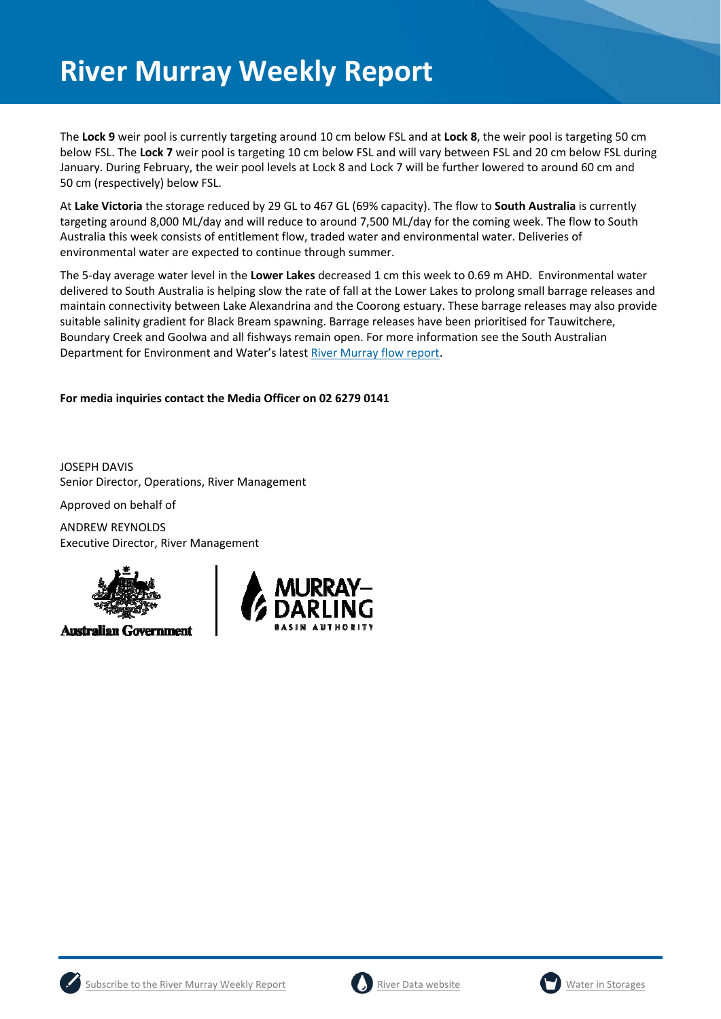The **Lock 9** weir pool is currently targeting around 10 cm below FSL and at **Lock 8**, the weir pool is targeting 50 cm below FSL. The **Lock 7** weir pool is targeting 10 cm below FSL and will vary between FSL and 20 cm below FSL during January. During February, the weir pool levels at Lock 8 and Lock 7 will be further lowered to around 60 cm and 50 cm (respectively) below FSL.

At **Lake Victoria** the storage reduced by 29 GL to 467 GL (69% capacity). The flow to **South Australia** is currently targeting around 8,000 ML/day and will reduce to around 7,500 ML/day for the coming week. The flow to South Australia this week consists of entitlement flow, traded water and environmental water. Deliveries of environmental water are expected to continue through summer.

The 5‐day average water level in the **Lower Lakes** decreased 1 cm this week to 0.69 m AHD. Environmental water delivered to South Australia is helping slow the rate of fall at the Lower Lakes to prolong small barrage releases and maintain connectivity between Lake Alexandrina and the Coorong estuary. These barrage releases may also provide suitable salinity gradient for Black Bream spawning. Barrage releases have been prioritised for Tauwitchere, Boundary Creek and Goolwa and all fishways remain open. For more information see the South Australian Department for Environment and Water's latest River Murray flow report.

## **For media inquiries contact the Media Officer on 02 6279 0141**

JOSEPH DAVIS Senior Director, Operations, River Management

Approved on behalf of

ANDREW REYNOLDS Executive Director, River Management



**Australian Government** 







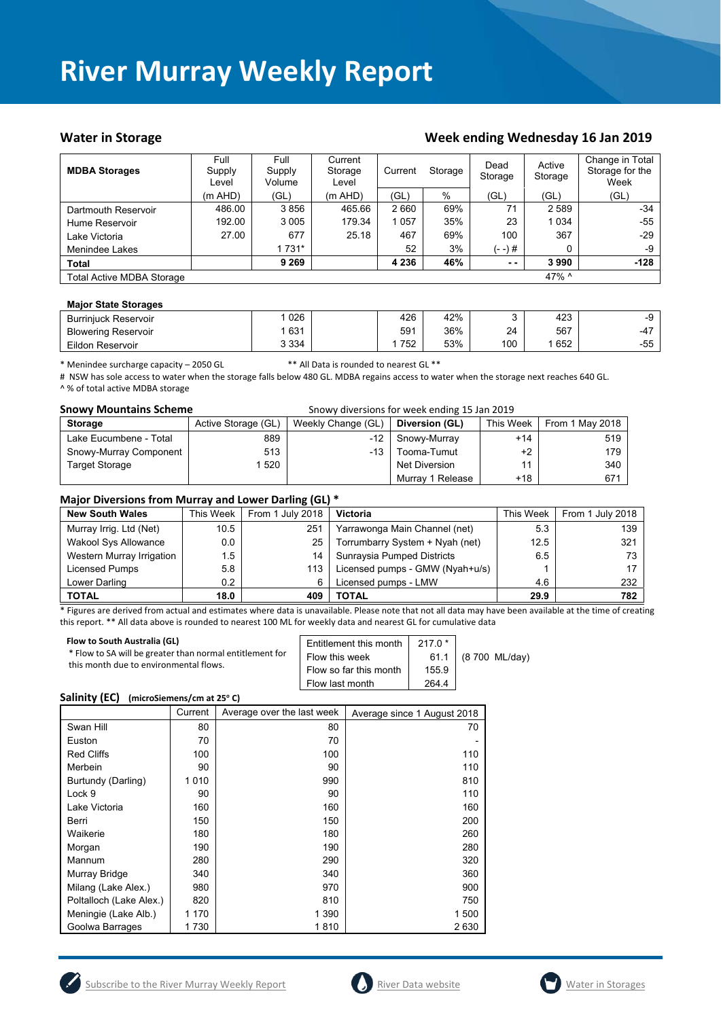### Water in Storage **Water in Storage Week ending Wednesday 16 Jan 2019**

| <b>MDBA Storages</b>      | Full<br>Supply<br>Level | Full<br>Supply<br>Volume | Current<br>Storage<br>Level | Current | Storage |               | Active<br>Storage | Change in Total<br>Storage for the<br>Week |
|---------------------------|-------------------------|--------------------------|-----------------------------|---------|---------|---------------|-------------------|--------------------------------------------|
|                           | (m AHD)                 | (GL)                     | (m AHD)                     | 'GL)    | %       | (GL)          | (GL)              | (GL)                                       |
| Dartmouth Reservoir       | 486.00                  | 3856                     | 465.66                      | 2660    | 69%     | 71            | 2 5 8 9           | $-34$                                      |
| Hume Reservoir            | 192.00                  | 3 0 0 5                  | 179.34                      | 1057    | 35%     | 23            | 1 0 3 4           | -55                                        |
| Lake Victoria             | 27.00                   | 677                      | 25.18                       | 467     | 69%     | 100           | 367               | $-29$                                      |
| Menindee Lakes            |                         | 1 731*                   |                             | 52      | 3%      | $(- -)$ #     | 0                 | -9                                         |
| <b>Total</b>              |                         | 9 2 6 9                  |                             | 4 2 3 6 | 46%     | $\sim$ $\sim$ | 3990              | $-128$                                     |
| Total Active MDBA Storage |                         |                          |                             |         |         |               | 47% ^             |                                            |

### **Major State Storages**

| <b>Burriniuck Reservoir</b> | 026     | 426 | 42% |     | 423 | -9    |
|-----------------------------|---------|-----|-----|-----|-----|-------|
| <b>Blowering Reservoir</b>  | 631     | 591 | 36% | 24  | 567 | -4    |
| Eildon Reservoir            | 3 3 3 4 | 752 | 53% | 100 | 652 | $-55$ |

\* Menindee surcharge capacity – 2050 GL \*\* All Data is rounded to nearest GL \*\*

# NSW has sole access to water when the storage falls below 480 GL. MDBA regains access to water when the storage next reaches 640 GL. ^ % of total active MDBA storage

| <b>Snowy Mountains Scheme</b> | Snowy diversions for week ending 15 Jan 2019 |                    |                      |           |                 |
|-------------------------------|----------------------------------------------|--------------------|----------------------|-----------|-----------------|
| <b>Storage</b>                | Active Storage (GL)                          | Weekly Change (GL) | Diversion (GL)       | This Week | From 1 May 2018 |
| Lake Eucumbene - Total        | 889                                          | -12                | Snowy-Murray         | $+14$     | 519             |
| Snowy-Murray Component        | 513                                          | $-13$ $+$          | Tooma-Tumut          | +2        | 179             |
| <b>Target Storage</b>         | 1 520                                        |                    | <b>Net Diversion</b> |           | 340             |
|                               |                                              |                    | Murray 1 Release     | +18       | 671             |

### **Major Diversions from Murray and Lower Darling (GL) \***

|                             |           | . .              |                                 |           |                  |
|-----------------------------|-----------|------------------|---------------------------------|-----------|------------------|
| <b>New South Wales</b>      | This Week | From 1 July 2018 | <b>Victoria</b>                 | This Week | From 1 July 2018 |
| Murray Irrig. Ltd (Net)     | 10.5      | 251              | Yarrawonga Main Channel (net)   | 5.3       | 139              |
| <b>Wakool Sys Allowance</b> | 0.0       | 25               | Torrumbarry System + Nyah (net) | 12.5      | 321              |
| Western Murray Irrigation   | 1.5       | 14               | Sunraysia Pumped Districts      | 6.5       | 73               |
| Licensed Pumps              | 5.8       | 113              | Licensed pumps - GMW (Nyah+u/s) |           |                  |
| Lower Darling               | 0.2       | 6                | Licensed pumps - LMW            | 4.6       | 232              |
| <b>TOTAL</b>                | 18.0      | 409              | TOTAL                           | 29.9      | 782              |

\* Figures are derived from actual and estimates where data is unavailable. Please note that not all data may have been available at the time of creating this report. \*\* All data above is rounded to nearest 100 ML for weekly data and nearest GL for cumulative data

| Flow to South Australia (GL)<br>* Flow to SA will be greater than normal entitlement for<br>this month due to environmental flows. | Entitlement this month<br>Flow this week | $2170*$<br>61.1 | (8 700 ML/day) |
|------------------------------------------------------------------------------------------------------------------------------------|------------------------------------------|-----------------|----------------|
|                                                                                                                                    | Flow so far this month                   | 155.9           |                |
|                                                                                                                                    | Flow last month                          | 264.4           |                |

### Salinity (EC) (microSiemens/cm at 25°C)

|                         | Current | Average over the last week | Average since 1 August 2018 |
|-------------------------|---------|----------------------------|-----------------------------|
| Swan Hill               | 80      | 80                         | 70                          |
| Euston                  | 70      | 70                         |                             |
| <b>Red Cliffs</b>       | 100     | 100                        | 110                         |
| Merbein                 | 90      | 90                         | 110                         |
| Burtundy (Darling)      | 1010    | 990                        | 810                         |
| Lock 9                  | 90      | 90                         | 110                         |
| Lake Victoria           | 160     | 160                        | 160                         |
| Berri                   | 150     | 150                        | 200                         |
| Waikerie                | 180     | 180                        | 260                         |
| Morgan                  | 190     | 190                        | 280                         |
| Mannum                  | 280     | 290                        | 320                         |
| Murray Bridge           | 340     | 340                        | 360                         |
| Milang (Lake Alex.)     | 980     | 970                        | 900                         |
| Poltalloch (Lake Alex.) | 820     | 810                        | 750                         |
| Meningie (Lake Alb.)    | 1 170   | 1 390                      | 1 500                       |
| Goolwa Barrages         | 1730    | 1810                       | 2630                        |





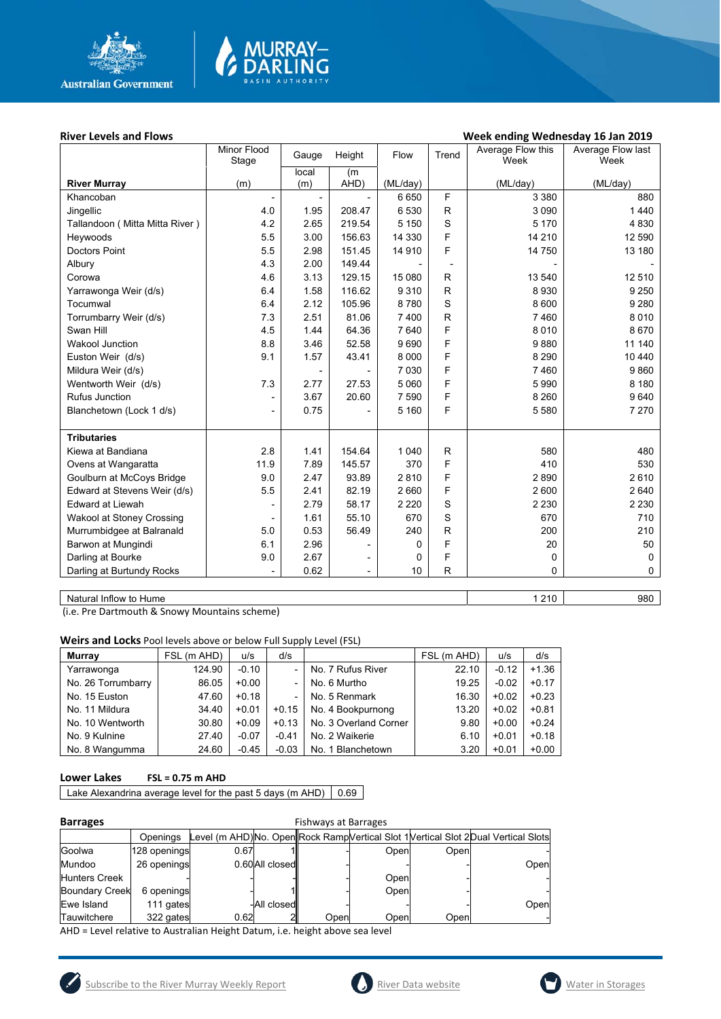

# MURRAY<mark>–</mark><br>DARLING

## River Levels and Flows **River Levels and Flows Week ending Wednesday 16 Jan 2019**

|                                  | Minor Flood              | Gauge | Height                   | Flow     | Trend                    | Average Flow this | Average Flow last |
|----------------------------------|--------------------------|-------|--------------------------|----------|--------------------------|-------------------|-------------------|
|                                  | Stage                    | local | (m)                      |          |                          | Week              | Week              |
| <b>River Murray</b>              | (m)                      | (m)   | AHD)                     | (ML/day) |                          | (ML/day)          | (ML/day)          |
| Khancoban                        |                          |       |                          | 6650     | F                        | 3 3 8 0           | 880               |
| Jingellic                        | 4.0                      | 1.95  | 208.47                   | 6 5 3 0  | $\mathsf{R}$             | 3 0 9 0           | 1440              |
| Tallandoon ( Mitta Mitta River ) | 4.2                      | 2.65  | 219.54                   | 5 1 5 0  | S                        | 5 1 7 0           | 4 8 3 0           |
| Heywoods                         | 5.5                      | 3.00  | 156.63                   | 14 3 30  | F                        | 14 210            | 12 590            |
| <b>Doctors Point</b>             | 5.5                      | 2.98  | 151.45                   | 14 910   | F                        | 14 750            | 13 180            |
| Albury                           | 4.3                      | 2.00  | 149.44                   |          | $\overline{\phantom{a}}$ |                   |                   |
| Corowa                           | 4.6                      | 3.13  | 129.15                   | 15 080   | R                        | 13 540            | 12 510            |
| Yarrawonga Weir (d/s)            | 6.4                      | 1.58  | 116.62                   | 9310     | $\mathsf{R}$             | 8930              | 9 2 5 0           |
| Tocumwal                         | 6.4                      | 2.12  | 105.96                   | 8780     | S                        | 8 600             | 9 2 8 0           |
| Torrumbarry Weir (d/s)           | 7.3                      | 2.51  | 81.06                    | 7 400    | $\mathsf R$              | 7460              | 8 0 1 0           |
| Swan Hill                        | 4.5                      | 1.44  | 64.36                    | 7640     | F                        | 8 0 1 0           | 8670              |
| <b>Wakool Junction</b>           | 8.8                      | 3.46  | 52.58                    | 9690     | F                        | 9880              | 11 140            |
| Euston Weir (d/s)                | 9.1                      | 1.57  | 43.41                    | 8 0 0 0  | F                        | 8 2 9 0           | 10 440            |
| Mildura Weir (d/s)               |                          |       |                          | 7 0 3 0  | F                        | 7460              | 9860              |
| Wentworth Weir (d/s)             | 7.3                      | 2.77  | 27.53                    | 5 0 6 0  | F                        | 5 9 9 0           | 8 1 8 0           |
| Rufus Junction                   |                          | 3.67  | 20.60                    | 7 5 9 0  | F                        | 8 2 6 0           | 9640              |
| Blanchetown (Lock 1 d/s)         | $\overline{\phantom{a}}$ | 0.75  |                          | 5 160    | F                        | 5 5 8 0           | 7 2 7 0           |
|                                  |                          |       |                          |          |                          |                   |                   |
| <b>Tributaries</b>               |                          |       |                          |          |                          |                   |                   |
| Kiewa at Bandiana                | 2.8                      | 1.41  | 154.64                   | 1 0 4 0  | R                        | 580               | 480               |
| Ovens at Wangaratta              | 11.9                     | 7.89  | 145.57                   | 370      | F                        | 410               | 530               |
| Goulburn at McCoys Bridge        | 9.0                      | 2.47  | 93.89                    | 2810     | F                        | 2890              | 2610              |
| Edward at Stevens Weir (d/s)     | 5.5                      | 2.41  | 82.19                    | 2 6 6 0  | F                        | 2 600             | 2 6 4 0           |
| <b>Edward at Liewah</b>          |                          | 2.79  | 58.17                    | 2 2 2 0  | S                        | 2 2 3 0           | 2 2 3 0           |
| Wakool at Stoney Crossing        |                          | 1.61  | 55.10                    | 670      | S                        | 670               | 710               |
| Murrumbidgee at Balranald        | 5.0                      | 0.53  | 56.49                    | 240      | $\mathsf{R}$             | 200               | 210               |
| Barwon at Mungindi               | 6.1                      | 2.96  |                          | 0        | F                        | 20                | 50                |
| Darling at Bourke                | 9.0                      | 2.67  | $\overline{\phantom{0}}$ | 0        | F                        | 0                 | 0                 |
| Darling at Burtundy Rocks        |                          | 0.62  | $\overline{\phantom{a}}$ | 10       | $\mathsf{R}$             | 0                 | $\Omega$          |
|                                  |                          |       |                          |          |                          |                   |                   |

Natural Inflow to Hume 1 210 980

(i.e. Pre Dartmouth & Snowy Mountains scheme)

**Weirs and Locks** Pool levels above or below Full Supply Level (FSL)

| <b>Murrav</b>      | FSL (m AHD) | u/s     | d/s     |                       | FSL (m AHD) | u/s     | d/s     |
|--------------------|-------------|---------|---------|-----------------------|-------------|---------|---------|
| Yarrawonga         | 124.90      | $-0.10$ |         | No. 7 Rufus River     | 22.10       | $-0.12$ | $+1.36$ |
| No. 26 Torrumbarry | 86.05       | $+0.00$ |         | No. 6 Murtho          | 19.25       | $-0.02$ | $+0.17$ |
| No. 15 Euston      | 47.60       | $+0.18$ |         | No. 5 Renmark         | 16.30       | $+0.02$ | $+0.23$ |
| No. 11 Mildura     | 34.40       | $+0.01$ | $+0.15$ | No. 4 Bookpurnong     | 13.20       | $+0.02$ | $+0.81$ |
| No. 10 Wentworth   | 30.80       | $+0.09$ | $+0.13$ | No. 3 Overland Corner | 9.80        | $+0.00$ | $+0.24$ |
| No. 9 Kulnine      | 27.40       | $-0.07$ | $-0.41$ | No. 2 Waikerie        | 6.10        | $+0.01$ | $+0.18$ |
| No. 8 Wangumma     | 24.60       | $-0.45$ | $-0.03$ | No. 1 Blanchetown     | 3.20        | $+0.01$ | $+0.00$ |

### **Lower Lakes FSL = 0.75 m AHD**

Lake Alexandrina average level for the past 5 days (m AHD)  $\Big| 0.69$ 

| ٠ |  |
|---|--|
|   |  |

| <b>Barrages</b>       | <b>Fishways at Barrages</b> |      |                |      |      |      |                                                                                     |  |
|-----------------------|-----------------------------|------|----------------|------|------|------|-------------------------------------------------------------------------------------|--|
|                       | Openinas                    |      |                |      |      |      | Level (m AHD)No. Open Rock Ramp Vertical Slot 1 Vertical Slot 2 Dual Vertical Slots |  |
| Goolwa                | 128 openings                | 0.67 |                |      | Open | Open |                                                                                     |  |
| Mundoo                | 26 openings                 |      | 0.60All closed |      |      |      | Open                                                                                |  |
| Hunters Creek         |                             |      |                |      | Open |      |                                                                                     |  |
| <b>Boundary Creek</b> | 6 openings                  |      |                |      | Open |      |                                                                                     |  |
| Ewe Island            | 111 gates                   |      | -All closedll  |      |      |      | Open                                                                                |  |
| Tauwitchere           | 322 gates                   | 0.62 |                | Open | Open | Open |                                                                                     |  |

AHD = Level relative to Australian Height Datum, i.e. height above sea level